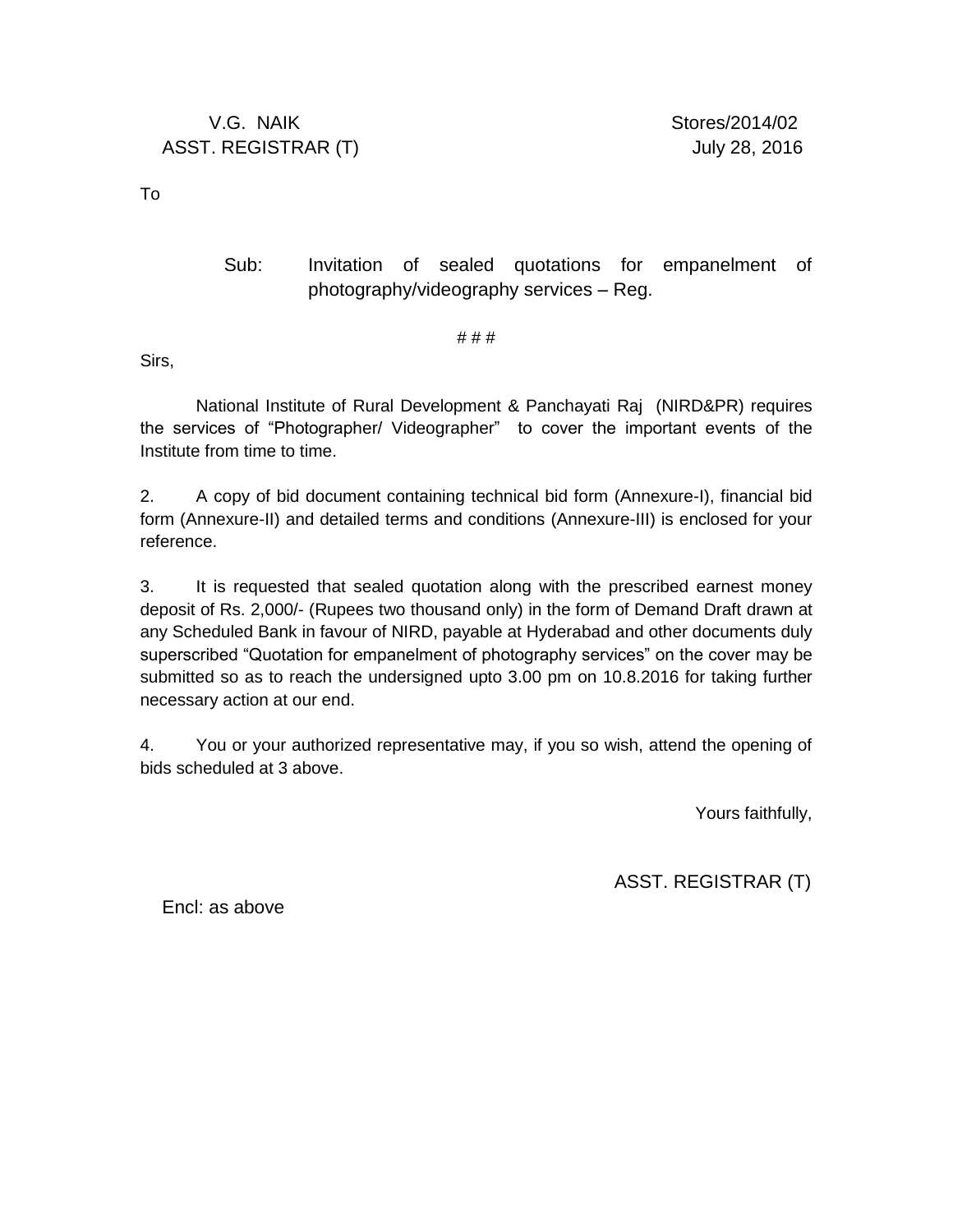To

#### Sub: Invitation of sealed quotations for empanelment of photography/videography services – Reg.

# # #

Sirs,

National Institute of Rural Development & Panchayati Raj (NIRD&PR) requires the services of "Photographer/ Videographer" to cover the important events of the Institute from time to time.

2. A copy of bid document containing technical bid form (Annexure-I), financial bid form (Annexure-II) and detailed terms and conditions (Annexure-III) is enclosed for your reference.

3. It is requested that sealed quotation along with the prescribed earnest money deposit of Rs. 2,000/- (Rupees two thousand only) in the form of Demand Draft drawn at any Scheduled Bank in favour of NIRD, payable at Hyderabad and other documents duly superscribed "Quotation for empanelment of photography services" on the cover may be submitted so as to reach the undersigned upto 3.00 pm on 10.8.2016 for taking further necessary action at our end.

4. You or your authorized representative may, if you so wish, attend the opening of bids scheduled at 3 above.

Yours faithfully,

ASST. REGISTRAR (T)

Encl: as above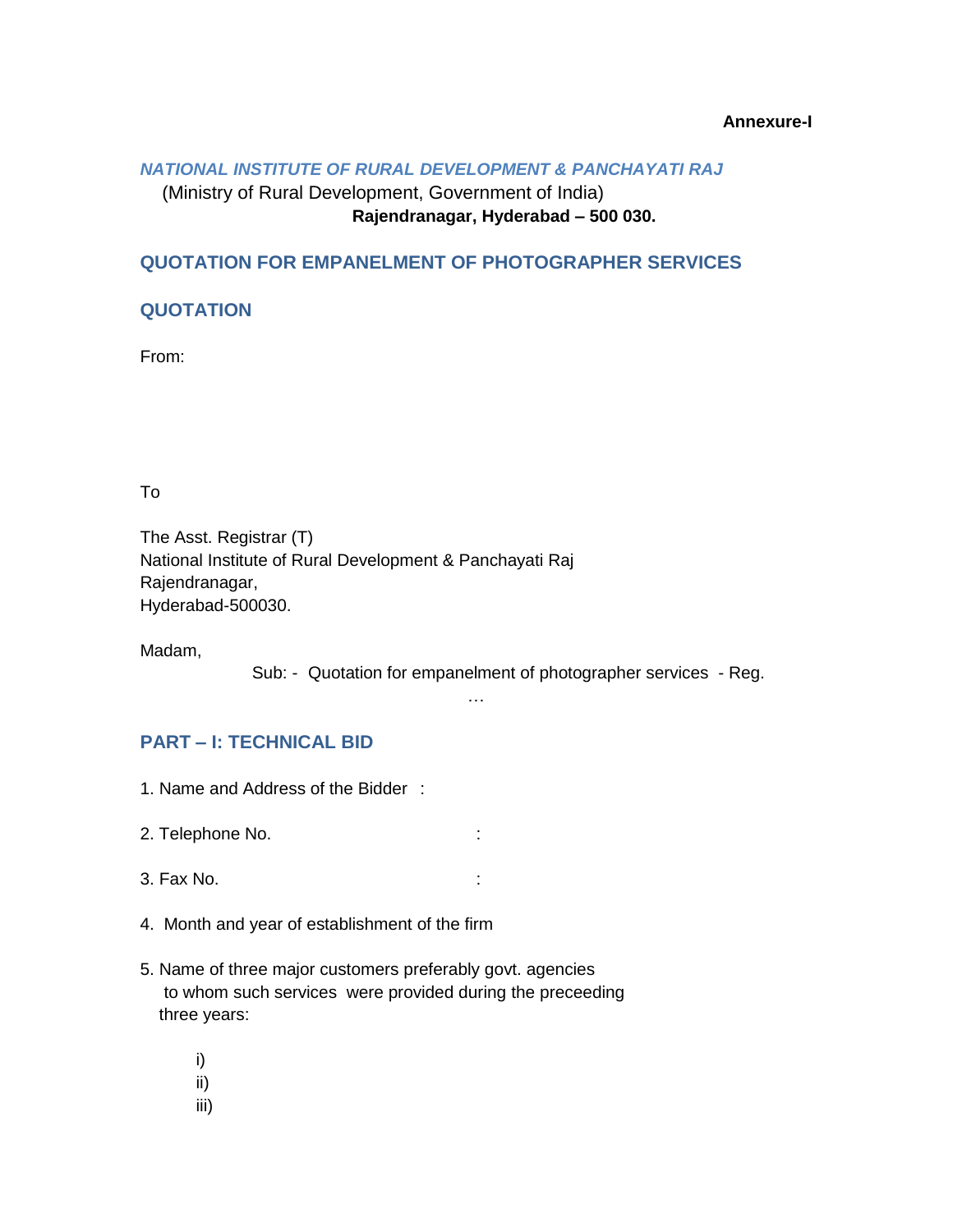#### **Annexure-I**

#### *NATIONAL INSTITUTE OF RURAL DEVELOPMENT & PANCHAYATI RAJ*

## (Ministry of Rural Development, Government of India) **Rajendranagar, Hyderabad – 500 030.**

### **QUOTATION FOR EMPANELMENT OF PHOTOGRAPHER SERVICES**

#### **QUOTATION**

From:

To

The Asst. Registrar (T) National Institute of Rural Development & Panchayati Raj Rajendranagar, Hyderabad-500030.

Madam,

Sub: - Quotation for empanelment of photographer services - Reg.

#### …

#### **PART – I: TECHNICAL BID**

- 1. Name and Address of the Bidder :
- 2. Telephone No. **:**  $\qquad \qquad$  :
- 3. Fax No. :
- 4. Month and year of establishment of the firm
- 5. Name of three major customers preferably govt. agencies to whom such services were provided during the preceeding three years:
	- i) ii)
	- iii)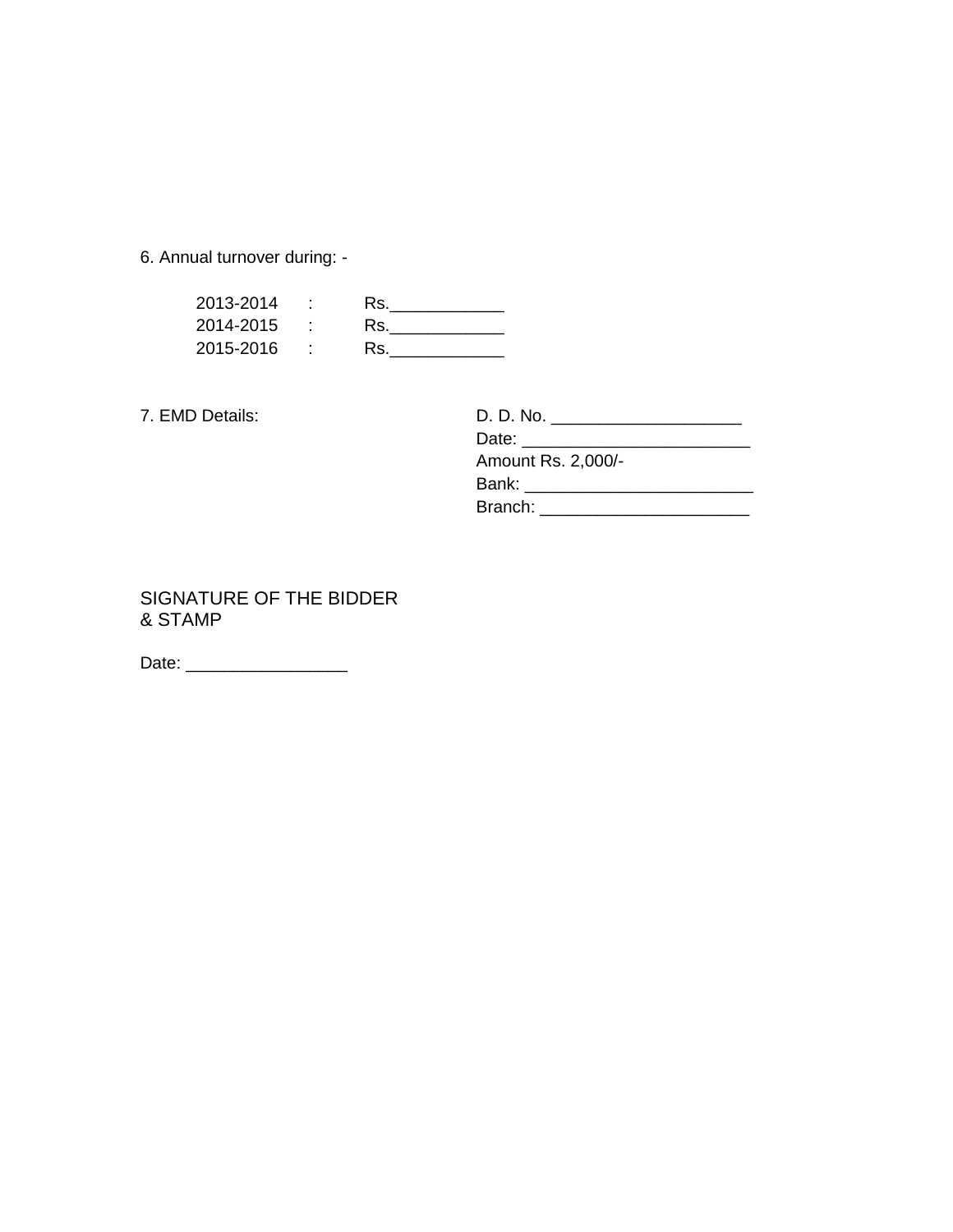6. Annual turnover during: -

| 2013-2014 | Rs. |
|-----------|-----|
| 2014-2015 | Rs. |
| 2015-2016 | Rs. |

7. EMD Details:

| 7. EMD Details: | D. D. No. ________________________ |  |
|-----------------|------------------------------------|--|
|                 |                                    |  |
|                 | Amount Rs. 2,000/-                 |  |
|                 | Bank: _______________________      |  |
|                 | Branch: <b>Example</b>             |  |

SIGNATURE OF THE BIDDER & STAMP

Date: \_\_\_\_\_\_\_\_\_\_\_\_\_\_\_\_\_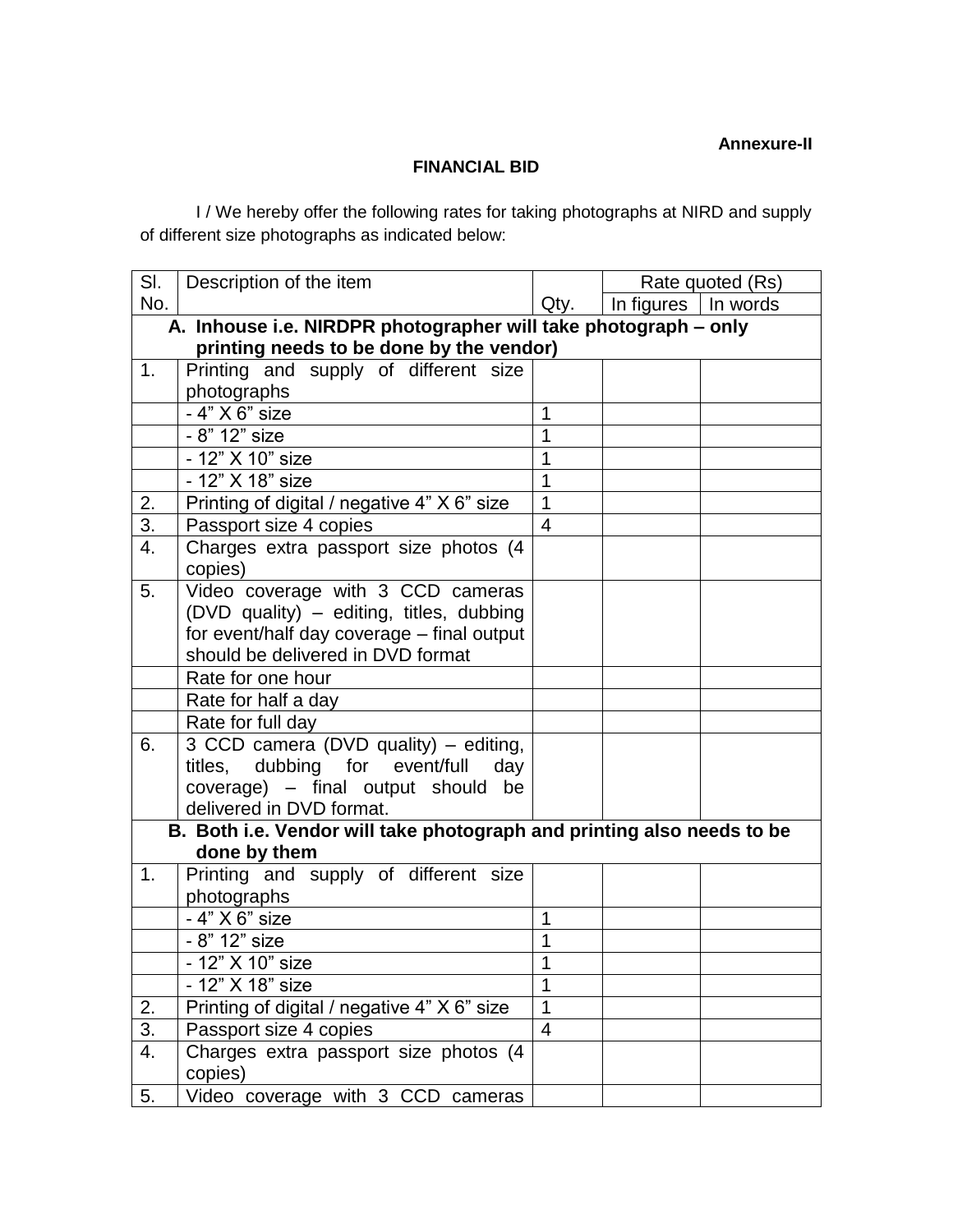#### **FINANCIAL BID**

I / We hereby offer the following rates for taking photographs at NIRD and supply of different size photographs as indicated below:

| SI.                                                             | Description of the item                                                |                | Rate quoted (Rs)      |  |  |  |  |  |  |
|-----------------------------------------------------------------|------------------------------------------------------------------------|----------------|-----------------------|--|--|--|--|--|--|
| No.                                                             |                                                                        | Qty.           | In figures   In words |  |  |  |  |  |  |
| A. Inhouse i.e. NIRDPR photographer will take photograph - only |                                                                        |                |                       |  |  |  |  |  |  |
| printing needs to be done by the vendor)                        |                                                                        |                |                       |  |  |  |  |  |  |
| 1.                                                              | Printing and supply of different size                                  |                |                       |  |  |  |  |  |  |
|                                                                 | photographs                                                            |                |                       |  |  |  |  |  |  |
|                                                                 | - 4" X 6" size                                                         | 1              |                       |  |  |  |  |  |  |
|                                                                 | - 8" 12" size                                                          |                |                       |  |  |  |  |  |  |
|                                                                 | - 12" X 10" size                                                       | 1              |                       |  |  |  |  |  |  |
|                                                                 | - 12" X 18" size                                                       |                |                       |  |  |  |  |  |  |
| 2.                                                              | Printing of digital / negative 4" X 6" size                            |                |                       |  |  |  |  |  |  |
| 3.                                                              | Passport size 4 copies                                                 |                |                       |  |  |  |  |  |  |
| 4.                                                              | Charges extra passport size photos (4                                  |                |                       |  |  |  |  |  |  |
|                                                                 | copies)                                                                |                |                       |  |  |  |  |  |  |
| 5.                                                              | Video coverage with 3 CCD cameras                                      |                |                       |  |  |  |  |  |  |
|                                                                 | (DVD quality) - editing, titles, dubbing                               |                |                       |  |  |  |  |  |  |
|                                                                 | for event/half day coverage - final output                             |                |                       |  |  |  |  |  |  |
|                                                                 | should be delivered in DVD format                                      |                |                       |  |  |  |  |  |  |
|                                                                 | Rate for one hour                                                      |                |                       |  |  |  |  |  |  |
|                                                                 | Rate for half a day                                                    |                |                       |  |  |  |  |  |  |
|                                                                 | Rate for full day                                                      |                |                       |  |  |  |  |  |  |
| 6.                                                              | 3 CCD camera (DVD quality) - editing,                                  |                |                       |  |  |  |  |  |  |
|                                                                 | titles, dubbing for event/full<br>day                                  |                |                       |  |  |  |  |  |  |
|                                                                 | coverage) - final output should be                                     |                |                       |  |  |  |  |  |  |
|                                                                 | delivered in DVD format.                                               |                |                       |  |  |  |  |  |  |
|                                                                 | B. Both i.e. Vendor will take photograph and printing also needs to be |                |                       |  |  |  |  |  |  |
|                                                                 | done by them                                                           |                |                       |  |  |  |  |  |  |
| 1.                                                              | Printing and supply of different size                                  |                |                       |  |  |  |  |  |  |
|                                                                 | photographs                                                            |                |                       |  |  |  |  |  |  |
|                                                                 | - 4" X 6" size                                                         | 1              |                       |  |  |  |  |  |  |
|                                                                 | - 8" 12" size                                                          | 1              |                       |  |  |  |  |  |  |
|                                                                 | - 12" X 10" size                                                       | 1              |                       |  |  |  |  |  |  |
|                                                                 | - 12" X 18" size                                                       |                |                       |  |  |  |  |  |  |
| 2.                                                              | Printing of digital / negative 4" X 6" size                            | 1              |                       |  |  |  |  |  |  |
| 3.                                                              | Passport size 4 copies                                                 | $\overline{4}$ |                       |  |  |  |  |  |  |
| 4.                                                              | Charges extra passport size photos (4                                  |                |                       |  |  |  |  |  |  |
|                                                                 | copies)                                                                |                |                       |  |  |  |  |  |  |
| 5.                                                              | Video coverage with 3 CCD cameras                                      |                |                       |  |  |  |  |  |  |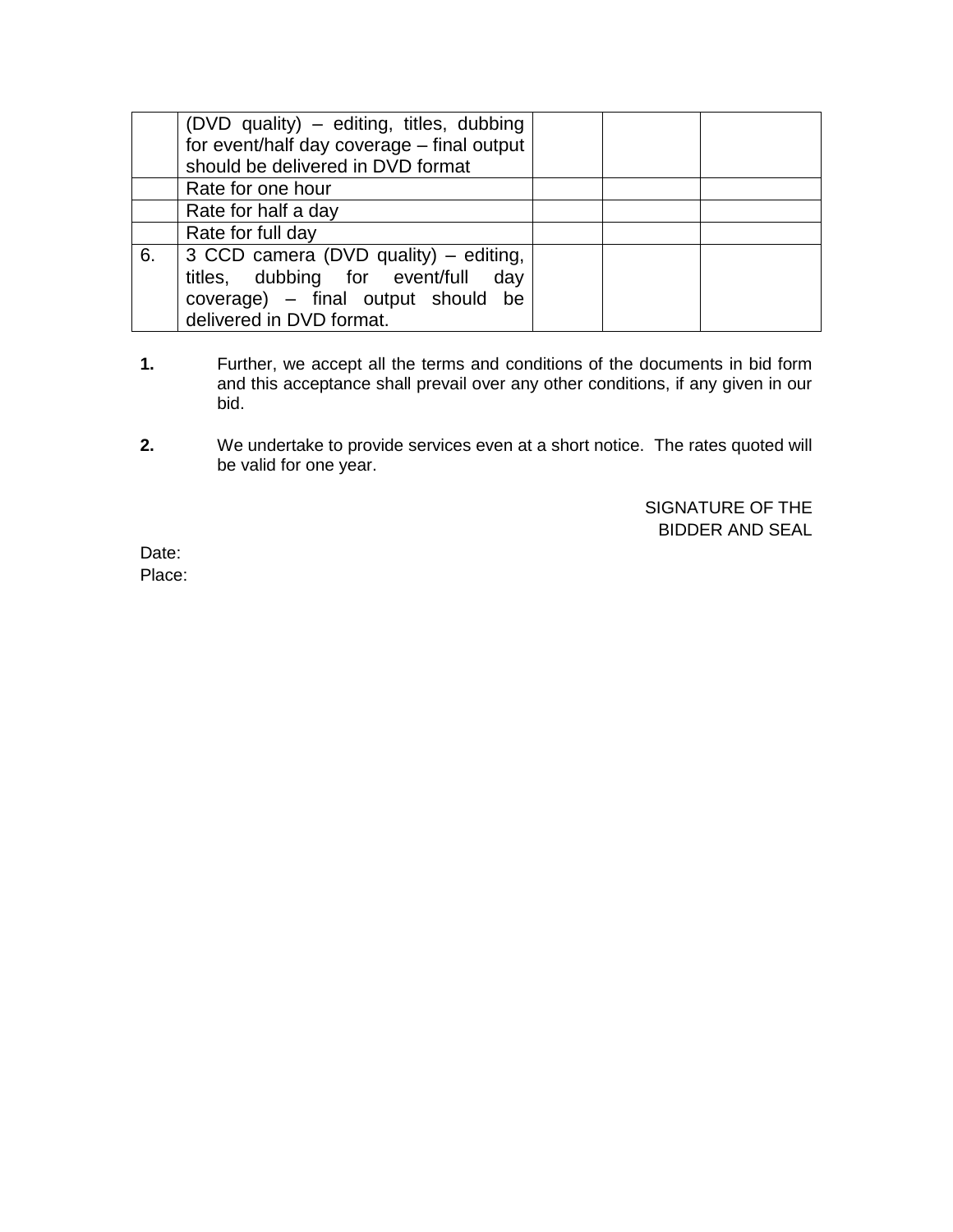|    | (DVD quality) – editing, titles, dubbing   |  |  |
|----|--------------------------------------------|--|--|
|    | for event/half day coverage – final output |  |  |
|    | should be delivered in DVD format          |  |  |
|    | Rate for one hour                          |  |  |
|    | Rate for half a day                        |  |  |
|    | Rate for full day                          |  |  |
| 6. | 3 CCD camera (DVD quality) – editing,      |  |  |
|    | titles, dubbing for event/full day         |  |  |
|    | coverage) – final output should be         |  |  |
|    | delivered in DVD format.                   |  |  |

- **1.** Further, we accept all the terms and conditions of the documents in bid form and this acceptance shall prevail over any other conditions, if any given in our bid.
- **2.** We undertake to provide services even at a short notice. The rates quoted will be valid for one year.

SIGNATURE OF THE BIDDER AND SEAL

Date: Place: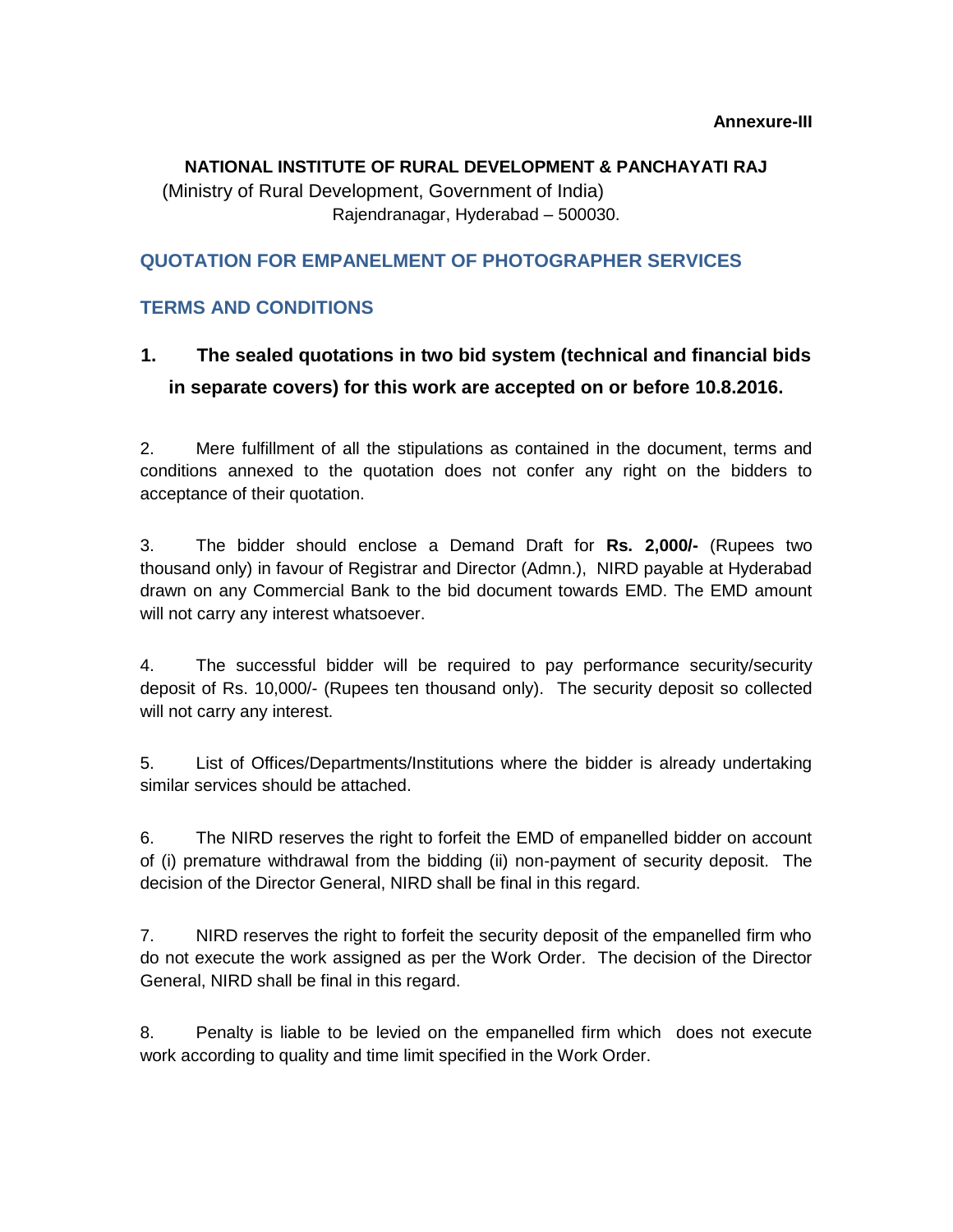# **NATIONAL INSTITUTE OF RURAL DEVELOPMENT & PANCHAYATI RAJ**

(Ministry of Rural Development, Government of India) Rajendranagar, Hyderabad – 500030.

### **QUOTATION FOR EMPANELMENT OF PHOTOGRAPHER SERVICES**

### **TERMS AND CONDITIONS**

## **1. The sealed quotations in two bid system (technical and financial bids in separate covers) for this work are accepted on or before 10.8.2016.**

2. Mere fulfillment of all the stipulations as contained in the document, terms and conditions annexed to the quotation does not confer any right on the bidders to acceptance of their quotation.

3. The bidder should enclose a Demand Draft for **Rs. 2,000/-** (Rupees two thousand only) in favour of Registrar and Director (Admn.), NIRD payable at Hyderabad drawn on any Commercial Bank to the bid document towards EMD. The EMD amount will not carry any interest whatsoever.

4. The successful bidder will be required to pay performance security/security deposit of Rs. 10,000/- (Rupees ten thousand only). The security deposit so collected will not carry any interest.

5. List of Offices/Departments/Institutions where the bidder is already undertaking similar services should be attached.

6. The NIRD reserves the right to forfeit the EMD of empanelled bidder on account of (i) premature withdrawal from the bidding (ii) non-payment of security deposit. The decision of the Director General, NIRD shall be final in this regard.

7. NIRD reserves the right to forfeit the security deposit of the empanelled firm who do not execute the work assigned as per the Work Order. The decision of the Director General, NIRD shall be final in this regard.

8. Penalty is liable to be levied on the empanelled firm which does not execute work according to quality and time limit specified in the Work Order.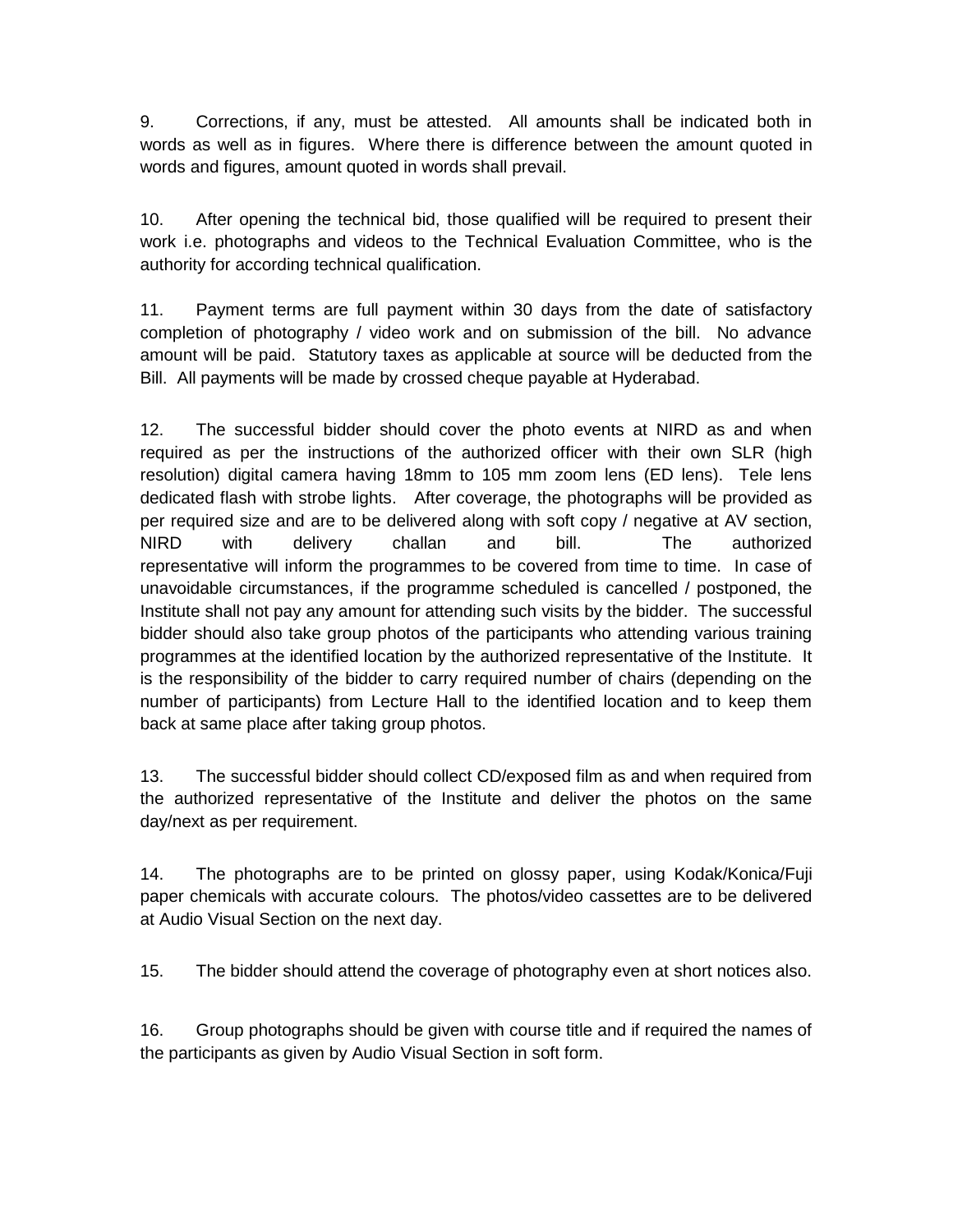9. Corrections, if any, must be attested. All amounts shall be indicated both in words as well as in figures. Where there is difference between the amount quoted in words and figures, amount quoted in words shall prevail.

10. After opening the technical bid, those qualified will be required to present their work i.e. photographs and videos to the Technical Evaluation Committee, who is the authority for according technical qualification.

11. Payment terms are full payment within 30 days from the date of satisfactory completion of photography / video work and on submission of the bill. No advance amount will be paid. Statutory taxes as applicable at source will be deducted from the Bill. All payments will be made by crossed cheque payable at Hyderabad.

12. The successful bidder should cover the photo events at NIRD as and when required as per the instructions of the authorized officer with their own SLR (high resolution) digital camera having 18mm to 105 mm zoom lens (ED lens). Tele lens dedicated flash with strobe lights. After coverage, the photographs will be provided as per required size and are to be delivered along with soft copy / negative at AV section, NIRD with delivery challan and bill. The authorized representative will inform the programmes to be covered from time to time. In case of unavoidable circumstances, if the programme scheduled is cancelled / postponed, the Institute shall not pay any amount for attending such visits by the bidder. The successful bidder should also take group photos of the participants who attending various training programmes at the identified location by the authorized representative of the Institute. It is the responsibility of the bidder to carry required number of chairs (depending on the number of participants) from Lecture Hall to the identified location and to keep them back at same place after taking group photos.

13. The successful bidder should collect CD/exposed film as and when required from the authorized representative of the Institute and deliver the photos on the same day/next as per requirement.

14. The photographs are to be printed on glossy paper, using Kodak/Konica/Fuji paper chemicals with accurate colours. The photos/video cassettes are to be delivered at Audio Visual Section on the next day.

15. The bidder should attend the coverage of photography even at short notices also.

16. Group photographs should be given with course title and if required the names of the participants as given by Audio Visual Section in soft form.